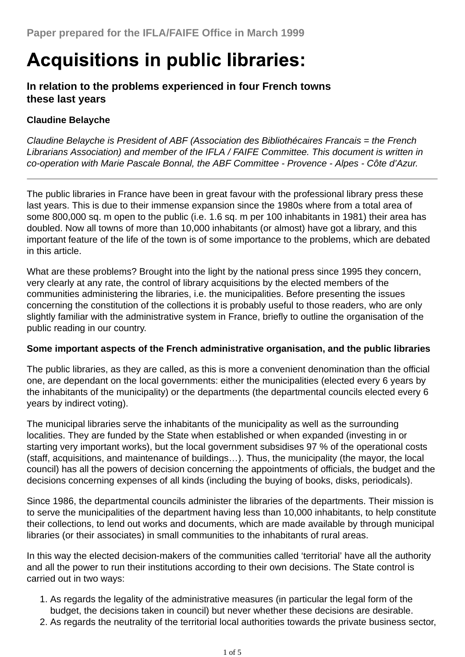# **Acquisitions in public libraries:**

# **In relation to the problems experienced in four French towns these last years**

# **Claudine Belayche**

*Claudine Belayche is President of ABF (Association des Bibliothécaires Francais = the French Librarians Association) and member of the IFLA / FAIFE Committee. This document is written in co-operation with Marie Pascale Bonnal, the ABF Committee - Provence - Alpes - Côte d'Azur.*

The public libraries in France have been in great favour with the professional library press these last years. This is due to their immense expansion since the 1980s where from a total area of some 800,000 sq. m open to the public (i.e. 1.6 sq. m per 100 inhabitants in 1981) their area has doubled. Now all towns of more than 10,000 inhabitants (or almost) have got a library, and this important feature of the life of the town is of some importance to the problems, which are debated in this article.

What are these problems? Brought into the light by the national press since 1995 they concern, very clearly at any rate, the control of library acquisitions by the elected members of the communities administering the libraries, i.e. the municipalities. Before presenting the issues concerning the constitution of the collections it is probably useful to those readers, who are only slightly familiar with the administrative system in France, briefly to outline the organisation of the public reading in our country.

## **Some important aspects of the French administrative organisation, and the public libraries**

The public libraries, as they are called, as this is more a convenient denomination than the official one, are dependant on the local governments: either the municipalities (elected every 6 years by the inhabitants of the municipality) or the departments (the departmental councils elected every 6 years by indirect voting).

The municipal libraries serve the inhabitants of the municipality as well as the surrounding localities. They are funded by the State when established or when expanded (investing in or starting very important works), but the local government subsidises 97 % of the operational costs (staff, acquisitions, and maintenance of buildings…). Thus, the municipality (the mayor, the local council) has all the powers of decision concerning the appointments of officials, the budget and the decisions concerning expenses of all kinds (including the buying of books, disks, periodicals).

Since 1986, the departmental councils administer the libraries of the departments. Their mission is to serve the municipalities of the department having less than 10,000 inhabitants, to help constitute their collections, to lend out works and documents, which are made available by through municipal libraries (or their associates) in small communities to the inhabitants of rural areas.

In this way the elected decision-makers of the communities called 'territorial' have all the authority and all the power to run their institutions according to their own decisions. The State control is carried out in two ways:

- 1. As regards the legality of the administrative measures (in particular the legal form of the budget, the decisions taken in council) but never whether these decisions are desirable.
- 2. As regards the neutrality of the territorial local authorities towards the private business sector,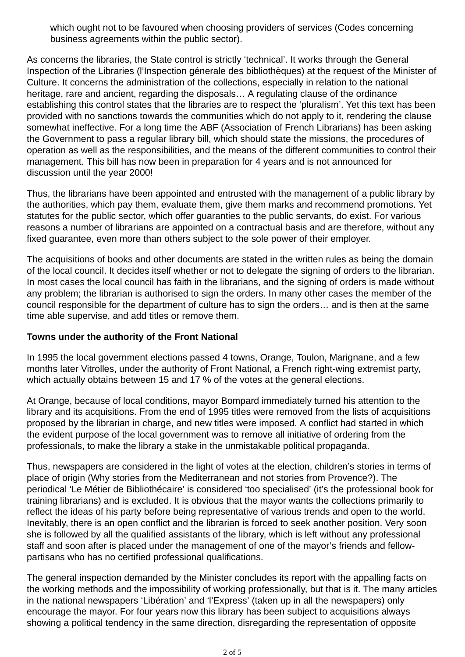which ought not to be favoured when choosing providers of services (Codes concerning business agreements within the public sector).

As concerns the libraries, the State control is strictly 'technical'. It works through the General Inspection of the Libraries (l'Inspection génerale des bibliothèques) at the request of the Minister of Culture. It concerns the administration of the collections, especially in relation to the national heritage, rare and ancient, regarding the disposals... A regulating clause of the ordinance establishing this control states that the libraries are to respect the 'pluralism'. Yet this text has been provided with no sanctions towards the communities which do not apply to it, rendering the clause somewhat ineffective. For a long time the ABF (Association of French Librarians) has been asking the Government to pass a regular library bill, which should state the missions, the procedures of operation as well as the responsibilities, and the means of the different communities to control their management. This bill has now been in preparation for 4 years and is not announced for discussion until the year 2000!

Thus, the librarians have been appointed and entrusted with the management of a public library by the authorities, which pay them, evaluate them, give them marks and recommend promotions. Yet statutes for the public sector, which offer guaranties to the public servants, do exist. For various reasons a number of librarians are appointed on a contractual basis and are therefore, without any fixed guarantee, even more than others subject to the sole power of their employer.

The acquisitions of books and other documents are stated in the written rules as being the domain of the local council. It decides itself whether or not to delegate the signing of orders to the librarian. In most cases the local council has faith in the librarians, and the signing of orders is made without any problem; the librarian is authorised to sign the orders. In many other cases the member of the council responsible for the department of culture has to sign the orders… and is then at the same time able supervise, and add titles or remove them.

#### **Towns under the authority of the Front National**

In 1995 the local government elections passed 4 towns, Orange, Toulon, Marignane, and a few months later Vitrolles, under the authority of Front National, a French right-wing extremist party, which actually obtains between 15 and 17 % of the votes at the general elections.

At Orange, because of local conditions, mayor Bompard immediately turned his attention to the library and its acquisitions. From the end of 1995 titles were removed from the lists of acquisitions proposed by the librarian in charge, and new titles were imposed. A conflict had started in which the evident purpose of the local government was to remove all initiative of ordering from the professionals, to make the library a stake in the unmistakable political propaganda.

Thus, newspapers are considered in the light of votes at the election, children's stories in terms of place of origin (Why stories from the Mediterranean and not stories from Provence?). The periodical 'Le Métier de Bibliothécaire' is considered 'too specialised' (it's the professional book for training librarians) and is excluded. It is obvious that the mayor wants the collections primarily to reflect the ideas of his party before being representative of various trends and open to the world. Inevitably, there is an open conflict and the librarian is forced to seek another position. Very soon she is followed by all the qualified assistants of the library, which is left without any professional staff and soon after is placed under the management of one of the mayor's friends and fellowpartisans who has no certified professional qualifications.

The general inspection demanded by the Minister concludes its report with the appalling facts on the working methods and the impossibility of working professionally, but that is it. The many articles in the national newspapers 'Libération' and 'l'Express' (taken up in all the newspapers) only encourage the mayor. For four years now this library has been subject to acquisitions always showing a political tendency in the same direction, disregarding the representation of opposite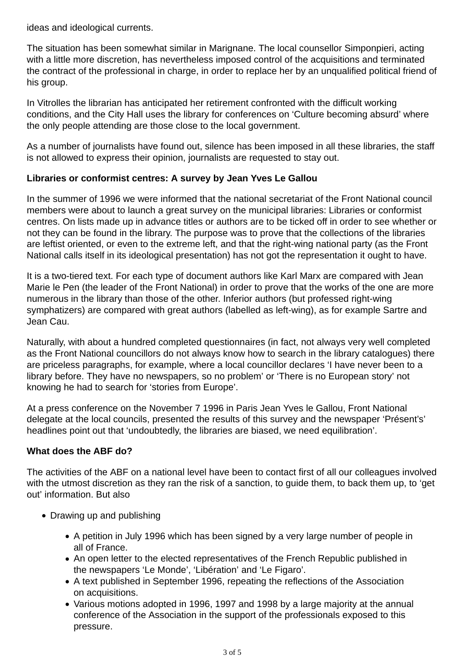ideas and ideological currents.

The situation has been somewhat similar in Marignane. The local counsellor Simponpieri, acting with a little more discretion, has nevertheless imposed control of the acquisitions and terminated the contract of the professional in charge, in order to replace her by an unqualified political friend of his group.

In Vitrolles the librarian has anticipated her retirement confronted with the difficult working conditions, and the City Hall uses the library for conferences on 'Culture becoming absurd' where the only people attending are those close to the local government.

As a number of journalists have found out, silence has been imposed in all these libraries, the staff is not allowed to express their opinion, journalists are requested to stay out.

## **Libraries or conformist centres: A survey by Jean Yves Le Gallou**

In the summer of 1996 we were informed that the national secretariat of the Front National council members were about to launch a great survey on the municipal libraries: Libraries or conformist centres. On lists made up in advance titles or authors are to be ticked off in order to see whether or not they can be found in the library. The purpose was to prove that the collections of the libraries are leftist oriented, or even to the extreme left, and that the right-wing national party (as the Front National calls itself in its ideological presentation) has not got the representation it ought to have.

It is a two-tiered text. For each type of document authors like Karl Marx are compared with Jean Marie le Pen (the leader of the Front National) in order to prove that the works of the one are more numerous in the library than those of the other. Inferior authors (but professed right-wing symphatizers) are compared with great authors (labelled as left-wing), as for example Sartre and Jean Cau.

Naturally, with about a hundred completed questionnaires (in fact, not always very well completed as the Front National councillors do not always know how to search in the library catalogues) there are priceless paragraphs, for example, where a local councillor declares 'I have never been to a library before. They have no newspapers, so no problem' or 'There is no European story' not knowing he had to search for 'stories from Europe'.

At a press conference on the November 7 1996 in Paris Jean Yves le Gallou, Front National delegate at the local councils, presented the results of this survey and the newspaper 'Présent's' headlines point out that 'undoubtedly, the libraries are biased, we need equilibration'.

## **What does the ABF do?**

The activities of the ABF on a national level have been to contact first of all our colleagues involved with the utmost discretion as they ran the risk of a sanction, to quide them, to back them up, to 'get out' information. But also

- Drawing up and publishing
	- A petition in July 1996 which has been signed by a very large number of people in all of France.
	- An open letter to the elected representatives of the French Republic published in the newspapers 'Le Monde', 'Libération' and 'Le Figaro'.
	- A text published in September 1996, repeating the reflections of the Association on acquisitions.
	- Various motions adopted in 1996, 1997 and 1998 by a large majority at the annual conference of the Association in the support of the professionals exposed to this pressure.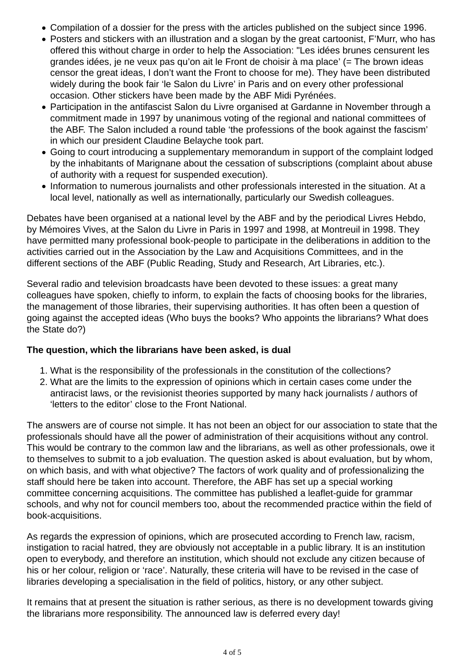- Compilation of a dossier for the press with the articles published on the subject since 1996.
- Posters and stickers with an illustration and a slogan by the great cartoonist, F'Murr, who has offered this without charge in order to help the Association: "Les idées brunes censurent les grandes idées, je ne veux pas qu'on ait le Front de choisir à ma place' (= The brown ideas censor the great ideas, I don't want the Front to choose for me). They have been distributed widely during the book fair 'le Salon du Livre' in Paris and on every other professional occasion. Other stickers have been made by the ABF Midi Pyrénées.
- Participation in the antifascist Salon du Livre organised at Gardanne in November through a commitment made in 1997 by unanimous voting of the regional and national committees of the ABF. The Salon included a round table 'the professions of the book against the fascism' in which our president Claudine Belayche took part.
- Going to court introducing a supplementary memorandum in support of the complaint lodged by the inhabitants of Marignane about the cessation of subscriptions (complaint about abuse of authority with a request for suspended execution).
- Information to numerous journalists and other professionals interested in the situation. At a local level, nationally as well as internationally, particularly our Swedish colleagues.

Debates have been organised at a national level by the ABF and by the periodical Livres Hebdo, by Mémoires Vives, at the Salon du Livre in Paris in 1997 and 1998, at Montreuil in 1998. They have permitted many professional book-people to participate in the deliberations in addition to the activities carried out in the Association by the Law and Acquisitions Committees, and in the different sections of the ABF (Public Reading, Study and Research, Art Libraries, etc.).

Several radio and television broadcasts have been devoted to these issues: a great many colleagues have spoken, chiefly to inform, to explain the facts of choosing books for the libraries, the management of those libraries, their supervising authorities. It has often been a question of going against the accepted ideas (Who buys the books? Who appoints the librarians? What does the State do?)

#### **The question, which the librarians have been asked, is dual**

- 1. What is the responsibility of the professionals in the constitution of the collections?
- What are the limits to the expression of opinions which in certain cases come under the 2. antiracist laws, or the revisionist theories supported by many hack journalists / authors of 'letters to the editor' close to the Front National.

The answers are of course not simple. It has not been an object for our association to state that the professionals should have all the power of administration of their acquisitions without any control. This would be contrary to the common law and the librarians, as well as other professionals, owe it to themselves to submit to a job evaluation. The question asked is about evaluation, but by whom, on which basis, and with what objective? The factors of work quality and of professionalizing the staff should here be taken into account. Therefore, the ABF has set up a special working committee concerning acquisitions. The committee has published a leaflet-guide for grammar schools, and why not for council members too, about the recommended practice within the field of book-acquisitions.

As regards the expression of opinions, which are prosecuted according to French law, racism, instigation to racial hatred, they are obviously not acceptable in a public library. It is an institution open to everybody, and therefore an institution, which should not exclude any citizen because of his or her colour, religion or 'race'. Naturally, these criteria will have to be revised in the case of libraries developing a specialisation in the field of politics, history, or any other subject.

It remains that at present the situation is rather serious, as there is no development towards giving the librarians more responsibility. The announced law is deferred every day!